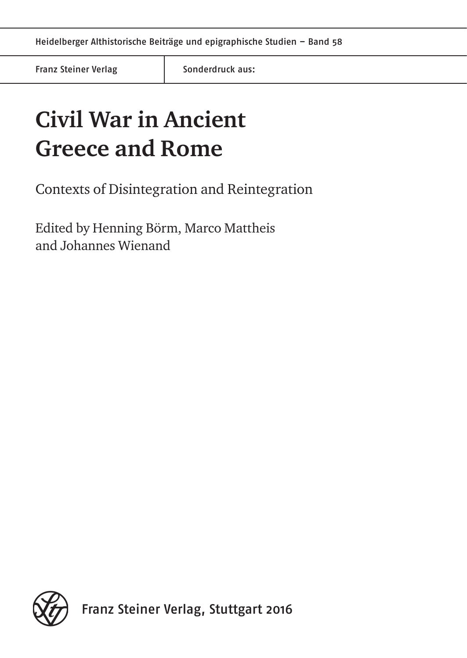Franz Steiner Verlag Franz Sonderdruck aus:

# **Civil War in Ancient Greece and Rome**

Contexts of Disintegration and Reintegration

Edited by Henning Börm, Marco Mattheis and Johannes Wienand

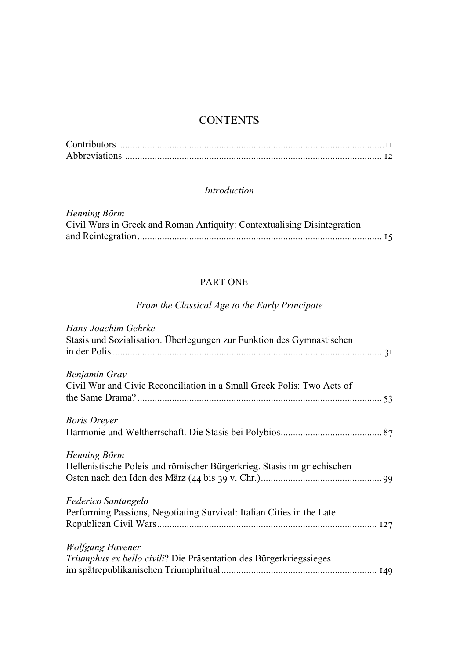# **CONTENTS**

## *Introduction*

| Henning Börm                                                            |
|-------------------------------------------------------------------------|
| Civil Wars in Greek and Roman Antiquity: Contextualising Disintegration |
|                                                                         |

## PART ONE

*From the Classical Age to the Early Principate* 

| Hans-Joachim Gehrke<br>Stasis und Sozialisation. Überlegungen zur Funktion des Gymnastischen |
|----------------------------------------------------------------------------------------------|
| Benjamin Gray<br>Civil War and Civic Reconciliation in a Small Greek Polis: Two Acts of      |
| <b>Boris</b> Dreyer                                                                          |
| Henning Börm<br>Hellenistische Poleis und römischer Bürgerkrieg. Stasis im griechischen      |
| Federico Santangelo<br>Performing Passions, Negotiating Survival: Italian Cities in the Late |
| Wolfgang Havener<br>Triumphus ex bello civili? Die Präsentation des Bürgerkriegssieges       |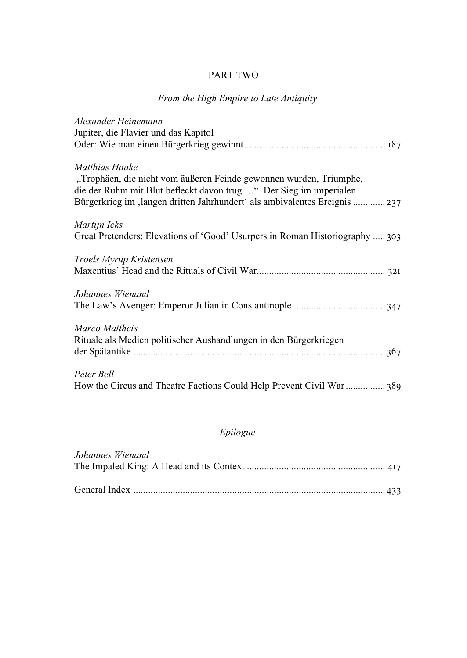## PART TWO

## *From the High Empire to Late Antiquity*

| Alexander Heinemann<br>Jupiter, die Flavier und das Kapitol                                                                                                                                                                               |
|-------------------------------------------------------------------------------------------------------------------------------------------------------------------------------------------------------------------------------------------|
| Matthias Haake<br>"Trophäen, die nicht vom äußeren Feinde gewonnen wurden, Triumphe,<br>die der Ruhm mit Blut befleckt davon trug ". Der Sieg im imperialen<br>Bürgerkrieg im , langen dritten Jahrhundert als ambivalentes Ereignis  237 |
| Martijn Icks<br>Great Pretenders: Elevations of 'Good' Usurpers in Roman Historiography  303                                                                                                                                              |
| Troels Myrup Kristensen                                                                                                                                                                                                                   |
| Johannes Wienand                                                                                                                                                                                                                          |
| Marco Mattheis<br>Rituale als Medien politischer Aushandlungen in den Bürgerkriegen                                                                                                                                                       |
| Peter Bell<br>How the Circus and Theatre Factions Could Help Prevent Civil War  389                                                                                                                                                       |

## *Epilogue*

| Johannes Wienand |
|------------------|
|                  |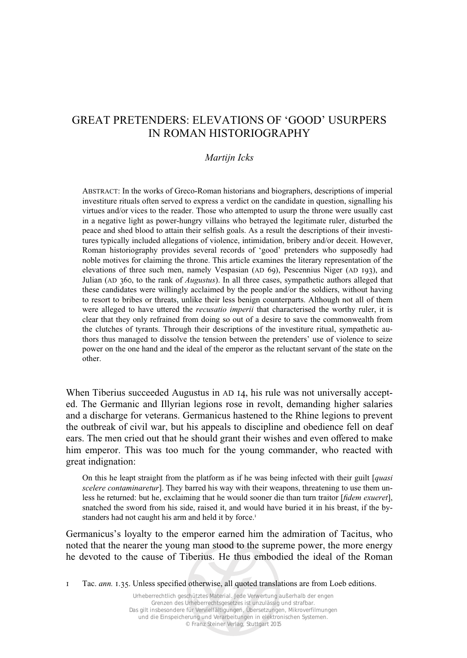## GREAT PRETENDERS: ELEVATIONS OF 'GOOD' USURPERS IN ROMAN HISTORIOGRAPHY

#### *Martijn Icks*

ABSTRACT: In the works of Greco-Roman historians and biographers, descriptions of imperial investiture rituals often served to express a verdict on the candidate in question, signalling his virtues and/or vices to the reader. Those who attempted to usurp the throne were usually cast in a negative light as power-hungry villains who betrayed the legitimate ruler, disturbed the peace and shed blood to attain their selfish goals. As a result the descriptions of their investitures typically included allegations of violence, intimidation, bribery and/or deceit. However, Roman historiography provides several records of 'good' pretenders who supposedly had noble motives for claiming the throne. This article examines the literary representation of the elevations of three such men, namely Vespasian (AD 69), Pescennius Niger (AD 193), and Julian (AD 360, to the rank of *Augustus*). In all three cases, sympathetic authors alleged that these candidates were willingly acclaimed by the people and/or the soldiers, without having to resort to bribes or threats, unlike their less benign counterparts. Although not all of them were alleged to have uttered the *recusatio imperii* that characterised the worthy ruler, it is clear that they only refrained from doing so out of a desire to save the commonwealth from the clutches of tyrants. Through their descriptions of the investiture ritual, sympathetic authors thus managed to dissolve the tension between the pretenders' use of violence to seize power on the one hand and the ideal of the emperor as the reluctant servant of the state on the other.

When Tiberius succeeded Augustus in AD 14, his rule was not universally accepted. The Germanic and Illyrian legions rose in revolt, demanding higher salaries and a discharge for veterans. Germanicus hastened to the Rhine legions to prevent the outbreak of civil war, but his appeals to discipline and obedience fell on deaf ears. The men cried out that he should grant their wishes and even offered to make him emperor. This was too much for the young commander, who reacted with great indignation:

On this he leapt straight from the platform as if he was being infected with their guilt [*quasi scelere contaminaretur*]. They barred his way with their weapons, threatening to use them unless he returned: but he, exclaiming that he would sooner die than turn traitor [*fidem exueret*], snatched the sword from his side, raised it, and would have buried it in his breast, if the bystanders had not caught his arm and held it by force.<sup>1</sup>

Germanicus's loyalty to the emperor earned him the admiration of Tacitus, who noted that the nearer the young man stood to the supreme power, the more energy he devoted to the cause of Tiberius. He thus embodied the ideal of the Roman

<sup>1</sup> Tac. *ann.* 1.35. Unless specified otherwise, all quoted translations are from Loeb editions.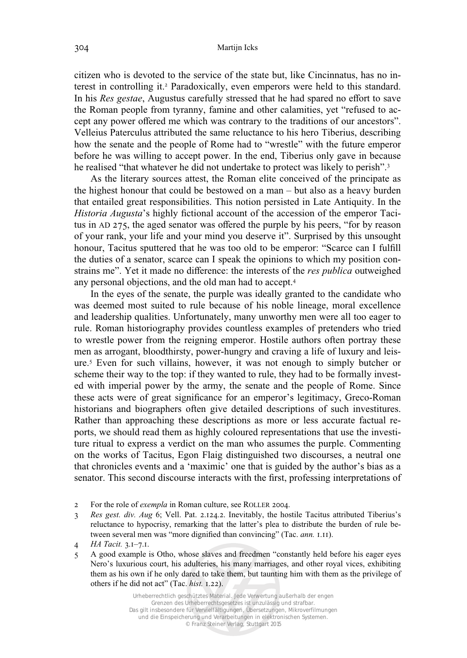citizen who is devoted to the service of the state but, like Cincinnatus, has no interest in controlling it.<sup>2</sup> Paradoxically, even emperors were held to this standard. In his *Res gestae*, Augustus carefully stressed that he had spared no effort to save the Roman people from tyranny, famine and other calamities, yet "refused to accept any power offered me which was contrary to the traditions of our ancestors". Velleius Paterculus attributed the same reluctance to his hero Tiberius, describing how the senate and the people of Rome had to "wrestle" with the future emperor before he was willing to accept power. In the end, Tiberius only gave in because he realised "that whatever he did not undertake to protect was likely to perish".3

As the literary sources attest, the Roman elite conceived of the principate as the highest honour that could be bestowed on a man – but also as a heavy burden that entailed great responsibilities. This notion persisted in Late Antiquity. In the *Historia Augusta*'s highly fictional account of the accession of the emperor Tacitus in AD 275, the aged senator was offered the purple by his peers, "for by reason of your rank, your life and your mind you deserve it". Surprised by this unsought honour, Tacitus sputtered that he was too old to be emperor: "Scarce can I fulfill the duties of a senator, scarce can I speak the opinions to which my position constrains me". Yet it made no difference: the interests of the *res publica* outweighed any personal objections, and the old man had to accept.4

In the eyes of the senate, the purple was ideally granted to the candidate who was deemed most suited to rule because of his noble lineage, moral excellence and leadership qualities. Unfortunately, many unworthy men were all too eager to rule. Roman historiography provides countless examples of pretenders who tried to wrestle power from the reigning emperor. Hostile authors often portray these men as arrogant, bloodthirsty, power-hungry and craving a life of luxury and leisure.5 Even for such villains, however, it was not enough to simply butcher or scheme their way to the top: if they wanted to rule, they had to be formally invested with imperial power by the army, the senate and the people of Rome. Since these acts were of great significance for an emperor's legitimacy, Greco-Roman historians and biographers often give detailed descriptions of such investitures. Rather than approaching these descriptions as more or less accurate factual reports, we should read them as highly coloured representations that use the investiture ritual to express a verdict on the man who assumes the purple. Commenting on the works of Tacitus, Egon Flaig distinguished two discourses, a neutral one that chronicles events and a 'maximic' one that is guided by the author's bias as a senator. This second discourse interacts with the first, professing interpretations of

- 2 For the role of *exempla* in Roman culture, see ROLLER 2004.
- 3 *Res gest. div. Aug* 6; Vell. Pat. 2.124.2. Inevitably, the hostile Tacitus attributed Tiberius's reluctance to hypocrisy, remarking that the latter's plea to distribute the burden of rule between several men was "more dignified than convincing" (Tac. *ann.* 1.11).

5 A good example is Otho, whose slaves and freedmen "constantly held before his eager eyes Nero's luxurious court, his adulteries, his many marriages, and other royal vices, exhibiting them as his own if he only dared to take them, but taunting him with them as the privilege of others if he did not act" (Tac. *hist.* 1.22).

<sup>4</sup> *HA Tacit.* 3.1–7.1.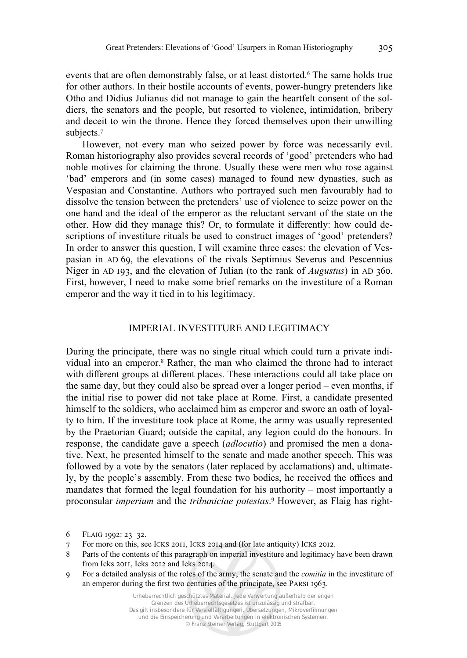events that are often demonstrably false, or at least distorted.<sup>6</sup> The same holds true for other authors. In their hostile accounts of events, power-hungry pretenders like Otho and Didius Julianus did not manage to gain the heartfelt consent of the soldiers, the senators and the people, but resorted to violence, intimidation, bribery and deceit to win the throne. Hence they forced themselves upon their unwilling subjects.7

However, not every man who seized power by force was necessarily evil. Roman historiography also provides several records of 'good' pretenders who had noble motives for claiming the throne. Usually these were men who rose against 'bad' emperors and (in some cases) managed to found new dynasties, such as Vespasian and Constantine. Authors who portrayed such men favourably had to dissolve the tension between the pretenders' use of violence to seize power on the one hand and the ideal of the emperor as the reluctant servant of the state on the other. How did they manage this? Or, to formulate it differently: how could descriptions of investiture rituals be used to construct images of 'good' pretenders? In order to answer this question, I will examine three cases: the elevation of Vespasian in AD 69, the elevations of the rivals Septimius Severus and Pescennius Niger in AD 193, and the elevation of Julian (to the rank of *Augustus*) in AD 360. First, however, I need to make some brief remarks on the investiture of a Roman emperor and the way it tied in to his legitimacy.

#### IMPERIAL INVESTITURE AND LEGITIMACY

During the principate, there was no single ritual which could turn a private individual into an emperor.<sup>8</sup> Rather, the man who claimed the throne had to interact with different groups at different places. These interactions could all take place on the same day, but they could also be spread over a longer period – even months, if the initial rise to power did not take place at Rome. First, a candidate presented himself to the soldiers, who acclaimed him as emperor and swore an oath of loyalty to him. If the investiture took place at Rome, the army was usually represented by the Praetorian Guard; outside the capital, any legion could do the honours. In response, the candidate gave a speech (*adlocutio*) and promised the men a donative. Next, he presented himself to the senate and made another speech. This was followed by a vote by the senators (later replaced by acclamations) and, ultimately, by the people's assembly. From these two bodies, he received the offices and mandates that formed the legal foundation for his authority – most importantly a proconsular *imperium* and the *tribuniciae potestas*. 9 However, as Flaig has right-

- 8 Parts of the contents of this paragraph on imperial investiture and legitimacy have been drawn from Icks 2011, Icks 2012 and Icks 2014.
- 9 For a detailed analysis of the roles of the army, the senate and the *comitia* in the investiture of an emperor during the first two centuries of the principate, see PARSI 1963.

<sup>6</sup> FLAIG 1992: 23–32.

For more on this, see ICKS 2011, ICKS 2014 and (for late antiquity) ICKS 2012.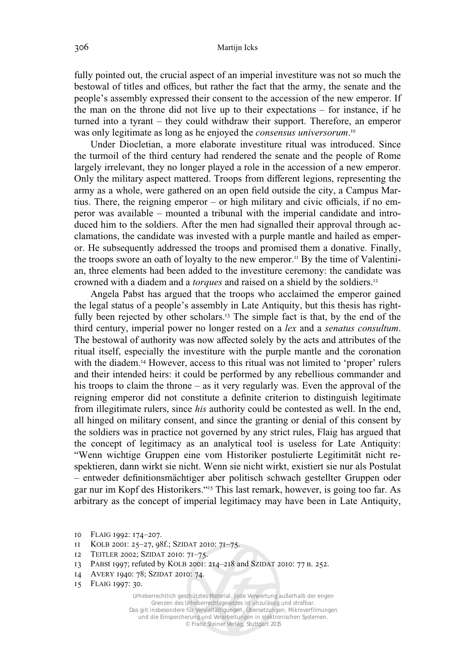fully pointed out, the crucial aspect of an imperial investiture was not so much the bestowal of titles and offices, but rather the fact that the army, the senate and the people's assembly expressed their consent to the accession of the new emperor. If the man on the throne did not live up to their expectations – for instance, if he turned into a tyrant – they could withdraw their support. Therefore, an emperor was only legitimate as long as he enjoyed the *consensus universorum*. 10

Under Diocletian, a more elaborate investiture ritual was introduced. Since the turmoil of the third century had rendered the senate and the people of Rome largely irrelevant, they no longer played a role in the accession of a new emperor. Only the military aspect mattered. Troops from different legions, representing the army as a whole, were gathered on an open field outside the city, a Campus Martius. There, the reigning emperor – or high military and civic officials, if no emperor was available – mounted a tribunal with the imperial candidate and introduced him to the soldiers. After the men had signalled their approval through acclamations, the candidate was invested with a purple mantle and hailed as emperor. He subsequently addressed the troops and promised them a donative. Finally, the troops swore an oath of loyalty to the new emperor.<sup>11</sup> By the time of Valentinian, three elements had been added to the investiture ceremony: the candidate was crowned with a diadem and a *torques* and raised on a shield by the soldiers.12

Angela Pabst has argued that the troops who acclaimed the emperor gained the legal status of a people's assembly in Late Antiquity, but this thesis has rightfully been rejected by other scholars.<sup>13</sup> The simple fact is that, by the end of the third century, imperial power no longer rested on a *lex* and a *senatus consultum*. The bestowal of authority was now affected solely by the acts and attributes of the ritual itself, especially the investiture with the purple mantle and the coronation with the diadem.14 However, access to this ritual was not limited to 'proper' rulers and their intended heirs: it could be performed by any rebellious commander and his troops to claim the throne – as it very regularly was. Even the approval of the reigning emperor did not constitute a definite criterion to distinguish legitimate from illegitimate rulers, since *his* authority could be contested as well. In the end, all hinged on military consent, and since the granting or denial of this consent by the soldiers was in practice not governed by any strict rules, Flaig has argued that the concept of legitimacy as an analytical tool is useless for Late Antiquity: "Wenn wichtige Gruppen eine vom Historiker postulierte Legitimität nicht respektieren, dann wirkt sie nicht. Wenn sie nicht wirkt, existiert sie nur als Postulat – entweder definitionsmächtiger aber politisch schwach gestellter Gruppen oder gar nur im Kopf des Historikers."15 This last remark, however, is going too far. As arbitrary as the concept of imperial legitimacy may have been in Late Antiquity,

15 FLAIG 1997: 30.

<sup>10</sup> FLAIG 1992: 174–207.

<sup>11</sup> KOLB 2001: 25–27, 98f.; SZIDAT 2010: 71–75.

<sup>12</sup> TEITLER 2002; SZIDAT 2010: 71–75.

<sup>13</sup> PABSt 1997; refuted by KOLB 2001: 214–218 and SZIDAT 2010: 77 n. 252.

<sup>14</sup> AVERY 1940: 78; SZIDAT 2010: 74.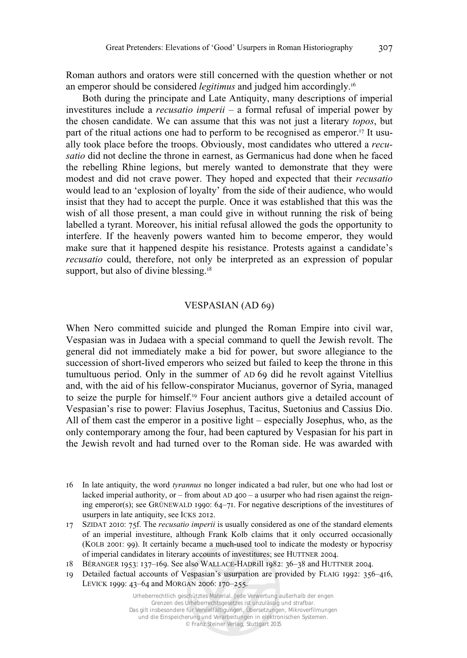Roman authors and orators were still concerned with the question whether or not an emperor should be considered *legitimus* and judged him accordingly.16

Both during the principate and Late Antiquity, many descriptions of imperial investitures include a *recusatio imperii* – a formal refusal of imperial power by the chosen candidate. We can assume that this was not just a literary *topos*, but part of the ritual actions one had to perform to be recognised as emperor.<sup>17</sup> It usually took place before the troops. Obviously, most candidates who uttered a *recusatio* did not decline the throne in earnest, as Germanicus had done when he faced the rebelling Rhine legions, but merely wanted to demonstrate that they were modest and did not crave power. They hoped and expected that their *recusatio* would lead to an 'explosion of loyalty' from the side of their audience, who would insist that they had to accept the purple. Once it was established that this was the wish of all those present, a man could give in without running the risk of being labelled a tyrant. Moreover, his initial refusal allowed the gods the opportunity to interfere. If the heavenly powers wanted him to become emperor, they would make sure that it happened despite his resistance. Protests against a candidate's *recusatio* could, therefore, not only be interpreted as an expression of popular support, but also of divine blessing. $18$ 

#### VESPASIAN (AD 69)

When Nero committed suicide and plunged the Roman Empire into civil war, Vespasian was in Judaea with a special command to quell the Jewish revolt. The general did not immediately make a bid for power, but swore allegiance to the succession of short-lived emperors who seized but failed to keep the throne in this tumultuous period. Only in the summer of AD 69 did he revolt against Vitellius and, with the aid of his fellow-conspirator Mucianus, governor of Syria, managed to seize the purple for himself.19 Four ancient authors give a detailed account of Vespasian's rise to power: Flavius Josephus, Tacitus, Suetonius and Cassius Dio. All of them cast the emperor in a positive light – especially Josephus, who, as the only contemporary among the four, had been captured by Vespasian for his part in the Jewish revolt and had turned over to the Roman side. He was awarded with

- 16 In late antiquity, the word *tyrannus* no longer indicated a bad ruler, but one who had lost or lacked imperial authority, or – from about  $AD$  400 – a usurper who had risen against the reigning emperor(s); see GRÜNEWALD 1990: 64–71. For negative descriptions of the investitures of usurpers in late antiquity, see ICKS 2012.
- 17 SZIDAT 2010: 75f. The *recusatio imperii* is usually considered as one of the standard elements of an imperial investiture, although Frank Kolb claims that it only occurred occasionally (KOLB 2001: 99). It certainly became a much-used tool to indicate the modesty or hypocrisy of imperial candidates in literary accounts of investitures; see HUTTNER 2004.
- 18 BÉRANGER 1953: 137–169. See also WALLACE-HADRill 1982: 36–38 and HUTTNER 2004.
- 19 Detailed factual accounts of Vespasian's usurpation are provided by FLAIG 1992: 356–416, LEVICK 1999: 43–64 and MORGAN 2006: 170–255.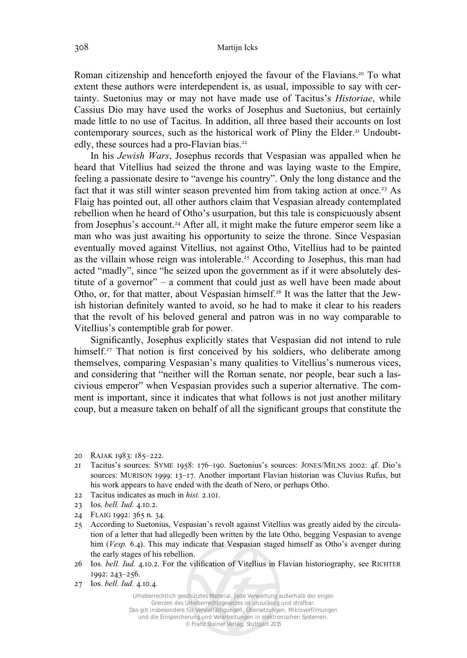Roman citizenship and henceforth enjoyed the favour of the Flavians.<sup>20</sup> To what extent these authors were interdependent is, as usual, impossible to say with certainty. Suetonius may or may not have made use of Tacitus's *Historiae*, while Cassius Dio may have used the works of Josephus and Suetonius, but certainly made little to no use of Tacitus. In addition, all three based their accounts on lost contemporary sources, such as the historical work of Pliny the Elder.<sup>21</sup> Undoubtedly, these sources had a pro-Flavian bias.<sup>22</sup>

In his *Jewish Wars*, Josephus records that Vespasian was appalled when he heard that Vitellius had seized the throne and was laying waste to the Empire, feeling a passionate desire to "avenge his country". Only the long distance and the fact that it was still winter season prevented him from taking action at once.<sup>23</sup> As Flaig has pointed out, all other authors claim that Vespasian already contemplated rebellion when he heard of Otho's usurpation, but this tale is conspicuously absent from Josephus's account.24 After all, it might make the future emperor seem like a man who was just awaiting his opportunity to seize the throne. Since Vespasian eventually moved against Vitellius, not against Otho, Vitellius had to be painted as the villain whose reign was intolerable.<sup>25</sup> According to Josephus, this man had acted "madly", since "he seized upon the government as if it were absolutely destitute of a governor" – a comment that could just as well have been made about Otho, or, for that matter, about Vespasian himself.<sup>26</sup> It was the latter that the Jewish historian definitely wanted to avoid, so he had to make it clear to his readers that the revolt of his beloved general and patron was in no way comparable to Vitellius's contemptible grab for power.

Significantly, Josephus explicitly states that Vespasian did not intend to rule himself.<sup>27</sup> That notion is first conceived by his soldiers, who deliberate among themselves, comparing Vespasian's many qualities to Vitellius's numerous vices, and considering that "neither will the Roman senate, nor people, bear such a lascivious emperor" when Vespasian provides such a superior alternative. The comment is important, since it indicates that what follows is not just another military coup, but a measure taken on behalf of all the significant groups that constitute the

- 20 RAJAK 1983: 185–222.
- 21 Tacitus's sources: SYME 1958: 176–190. Suetonius's sources: JONES/MILNS 2002: 4f. Dio's sources: MURISON 1999: 13–17. Another important Flavian historian was Cluvius Rufus, but his work appears to have ended with the death of Nero, or perhaps Otho.
- 22 Tacitus indicates as much in *hist.* 2.101.
- 23 Ios. *bell. Iud.* 4.10.2.
- 24 FLAIG 1992: 365 n. 34.
- 25 According to Suetonius, Vespasian's revolt against Vitellius was greatly aided by the circulation of a letter that had allegedly been written by the late Otho, begging Vespasian to avenge him (*Vesp.* 6.4). This may indicate that Vespasian staged himself as Otho's avenger during the early stages of his rebellion.
- 26 Ios. *bell. Iud.* 4.10.2. For the vilification of Vitellius in Flavian historiography, see RICHTER 1992: 243–256.
- 27 Ios. *bell. Iud.* 4.10.4.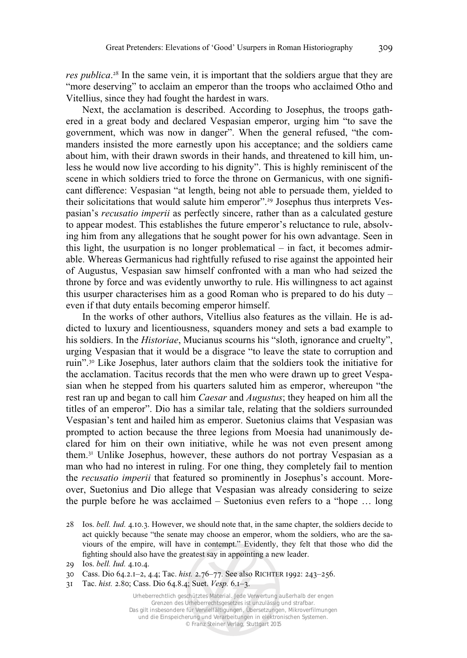*res publica*. 28 In the same vein, it is important that the soldiers argue that they are "more deserving" to acclaim an emperor than the troops who acclaimed Otho and Vitellius, since they had fought the hardest in wars.

Next, the acclamation is described. According to Josephus, the troops gathered in a great body and declared Vespasian emperor, urging him "to save the government, which was now in danger". When the general refused, "the commanders insisted the more earnestly upon his acceptance; and the soldiers came about him, with their drawn swords in their hands, and threatened to kill him, unless he would now live according to his dignity". This is highly reminiscent of the scene in which soldiers tried to force the throne on Germanicus, with one significant difference: Vespasian "at length, being not able to persuade them, yielded to their solicitations that would salute him emperor".29 Josephus thus interprets Vespasian's *recusatio imperii* as perfectly sincere, rather than as a calculated gesture to appear modest. This establishes the future emperor's reluctance to rule, absolving him from any allegations that he sought power for his own advantage. Seen in this light, the usurpation is no longer problematical – in fact, it becomes admirable. Whereas Germanicus had rightfully refused to rise against the appointed heir of Augustus, Vespasian saw himself confronted with a man who had seized the throne by force and was evidently unworthy to rule. His willingness to act against this usurper characterises him as a good Roman who is prepared to do his duty – even if that duty entails becoming emperor himself.

In the works of other authors, Vitellius also features as the villain. He is addicted to luxury and licentiousness, squanders money and sets a bad example to his soldiers. In the *Historiae*, Mucianus scourns his "sloth, ignorance and cruelty", urging Vespasian that it would be a disgrace "to leave the state to corruption and ruin".30 Like Josephus, later authors claim that the soldiers took the initiative for the acclamation. Tacitus records that the men who were drawn up to greet Vespasian when he stepped from his quarters saluted him as emperor, whereupon "the rest ran up and began to call him *Caesar* and *Augustus*; they heaped on him all the titles of an emperor". Dio has a similar tale, relating that the soldiers surrounded Vespasian's tent and hailed him as emperor. Suetonius claims that Vespasian was prompted to action because the three legions from Moesia had unanimously declared for him on their own initiative, while he was not even present among them.31 Unlike Josephus, however, these authors do not portray Vespasian as a man who had no interest in ruling. For one thing, they completely fail to mention the *recusatio imperii* that featured so prominently in Josephus's account. Moreover, Suetonius and Dio allege that Vespasian was already considering to seize the purple before he was acclaimed – Suetonius even refers to a "hope … long

28 Ios. *bell. Iud.* 4.10.3. However, we should note that, in the same chapter, the soldiers decide to act quickly because "the senate may choose an emperor, whom the soldiers, who are the saviours of the empire, will have in contempt." Evidently, they felt that those who did the fighting should also have the greatest say in appointing a new leader.

31 Tac. *hist.* 2.80; Cass. Dio 64.8.4; Suet. *Vesp.* 6.1–3.

<sup>29</sup> Ios. *bell. Iud.* 4.10.4.

<sup>30</sup> Cass. Dio 64.2.1–2, 4.4; Tac. *hist.* 2.76–77. See also RICHTER 1992: 243–256.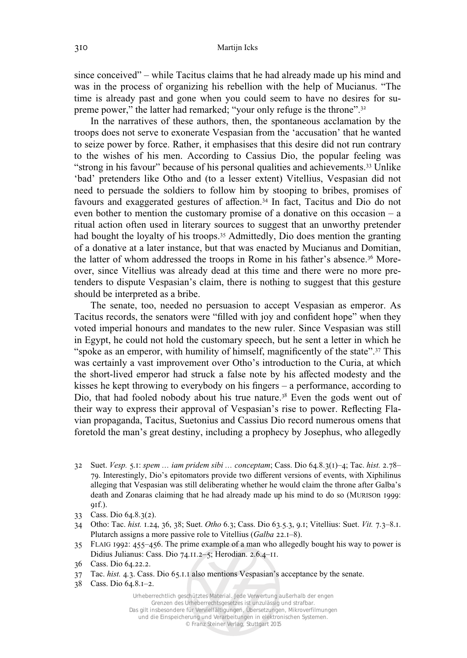since conceived" – while Tacitus claims that he had already made up his mind and was in the process of organizing his rebellion with the help of Mucianus. "The time is already past and gone when you could seem to have no desires for supreme power," the latter had remarked; "your only refuge is the throne".<sup>32</sup>

In the narratives of these authors, then, the spontaneous acclamation by the troops does not serve to exonerate Vespasian from the 'accusation' that he wanted to seize power by force. Rather, it emphasises that this desire did not run contrary to the wishes of his men. According to Cassius Dio, the popular feeling was "strong in his favour" because of his personal qualities and achievements.33 Unlike 'bad' pretenders like Otho and (to a lesser extent) Vitellius, Vespasian did not need to persuade the soldiers to follow him by stooping to bribes, promises of favours and exaggerated gestures of affection.34 In fact, Tacitus and Dio do not even bother to mention the customary promise of a donative on this occasion – a ritual action often used in literary sources to suggest that an unworthy pretender had bought the loyalty of his troops.<sup>35</sup> Admittedly, Dio does mention the granting of a donative at a later instance, but that was enacted by Mucianus and Domitian, the latter of whom addressed the troops in Rome in his father's absence.36 Moreover, since Vitellius was already dead at this time and there were no more pretenders to dispute Vespasian's claim, there is nothing to suggest that this gesture should be interpreted as a bribe.

The senate, too, needed no persuasion to accept Vespasian as emperor. As Tacitus records, the senators were "filled with joy and confident hope" when they voted imperial honours and mandates to the new ruler. Since Vespasian was still in Egypt, he could not hold the customary speech, but he sent a letter in which he "spoke as an emperor, with humility of himself, magnificently of the state".<sup>37</sup> This was certainly a vast improvement over Otho's introduction to the Curia, at which the short-lived emperor had struck a false note by his affected modesty and the kisses he kept throwing to everybody on his fingers – a performance, according to Dio, that had fooled nobody about his true nature.38 Even the gods went out of their way to express their approval of Vespasian's rise to power. Reflecting Flavian propaganda, Tacitus, Suetonius and Cassius Dio record numerous omens that foretold the man's great destiny, including a prophecy by Josephus, who allegedly

- 32 Suet. *Vesp.* 5.1: *spem … iam pridem sibi … conceptam*; Cass. Dio 64.8.3(1)–4; Tac. *hist.* 2.78– 79. Interestingly, Dio's epitomators provide two different versions of events, with Xiphilinus alleging that Vespasian was still deliberating whether he would claim the throne after Galba's death and Zonaras claiming that he had already made up his mind to do so (MURISOn 1999: 91f.).
- 33 Cass. Dio 64.8.3(2).
- 34 Otho: Tac. *hist.* 1.24, 36, 38; Suet. *Otho* 6.3; Cass. Dio 63.5.3, 9.1; Vitellius: Suet. *Vit.* 7.3–8.1. Plutarch assigns a more passive role to Vitellius (*Galba* 22.1–8).
- 35 FLAIG 1992: 455–456. The prime example of a man who allegedly bought his way to power is Didius Julianus: Cass. Dio 74.11.2–5; Herodian. 2.6.4–11.

- 37 Tac. *hist.* 4.3. Cass. Dio 65.1.1 also mentions Vespasian's acceptance by the senate.
- 38 Cass. Dio 64.8.1–2.

<sup>36</sup> Cass. Dio 64.22.2.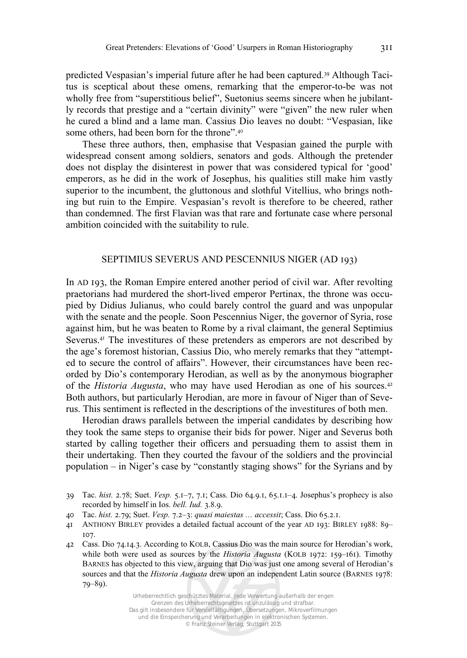predicted Vespasian's imperial future after he had been captured.39 Although Tacitus is sceptical about these omens, remarking that the emperor-to-be was not wholly free from "superstitious belief", Suetonius seems sincere when he jubilantly records that prestige and a "certain divinity" were "given" the new ruler when he cured a blind and a lame man. Cassius Dio leaves no doubt: "Vespasian, like some others, had been born for the throne".40

These three authors, then, emphasise that Vespasian gained the purple with widespread consent among soldiers, senators and gods. Although the pretender does not display the disinterest in power that was considered typical for 'good' emperors, as he did in the work of Josephus, his qualities still make him vastly superior to the incumbent, the gluttonous and slothful Vitellius, who brings nothing but ruin to the Empire. Vespasian's revolt is therefore to be cheered, rather than condemned. The first Flavian was that rare and fortunate case where personal ambition coincided with the suitability to rule.

#### SEPTIMIUS SEVERUS AND PESCENNIUS NIGER (AD 193)

In AD 193, the Roman Empire entered another period of civil war. After revolting praetorians had murdered the short-lived emperor Pertinax, the throne was occupied by Didius Julianus, who could barely control the guard and was unpopular with the senate and the people. Soon Pescennius Niger, the governor of Syria, rose against him, but he was beaten to Rome by a rival claimant, the general Septimius Severus.41 The investitures of these pretenders as emperors are not described by the age's foremost historian, Cassius Dio, who merely remarks that they "attempted to secure the control of affairs". However, their circumstances have been recorded by Dio's contemporary Herodian, as well as by the anonymous biographer of the *Historia Augusta*, who may have used Herodian as one of his sources.42 Both authors, but particularly Herodian, are more in favour of Niger than of Severus. This sentiment is reflected in the descriptions of the investitures of both men.

Herodian draws parallels between the imperial candidates by describing how they took the same steps to organise their bids for power. Niger and Severus both started by calling together their officers and persuading them to assist them in their undertaking. Then they courted the favour of the soldiers and the provincial population – in Niger's case by "constantly staging shows" for the Syrians and by

<sup>39</sup> Tac. *hist.* 2.78; Suet. *Vesp.* 5.1–7, 7.1; Cass. Dio 64.9.1, 65.1.1–4. Josephus's prophecy is also recorded by himself in Ios. *bell. Iud.* 3.8.9.

<sup>40</sup> Tac. *hist.* 2.79; Suet. *Vesp.* 7.2–3: *quasi maiestas … accessit*; Cass. Dio 65.2.1.

<sup>41</sup> ANTHONY BIRLEY provides a detailed factual account of the year AD 193: BIRLEY 1988: 89– 107.

<sup>42</sup> Cass. Dio 74.14.3. According to KOLB, Cassius Dio was the main source for Herodian's work, while both were used as sources by the *Historia Augusta* (KOLB 1972: 159–161). Timothy BARNES has objected to this view, arguing that Dio was just one among several of Herodian's sources and that the *Historia Augusta* drew upon an independent Latin source (BARNES 1978: 79–89).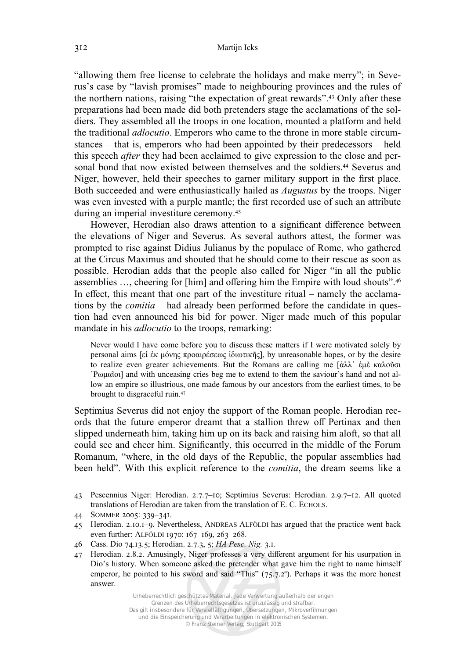"allowing them free license to celebrate the holidays and make merry"; in Severus's case by "lavish promises" made to neighbouring provinces and the rules of the northern nations, raising "the expectation of great rewards".43 Only after these preparations had been made did both pretenders stage the acclamations of the soldiers. They assembled all the troops in one location, mounted a platform and held the traditional *adlocutio*. Emperors who came to the throne in more stable circumstances – that is, emperors who had been appointed by their predecessors – held this speech *after* they had been acclaimed to give expression to the close and personal bond that now existed between themselves and the soldiers.<sup>44</sup> Severus and Niger, however, held their speeches to garner military support in the first place. Both succeeded and were enthusiastically hailed as *Augustus* by the troops. Niger was even invested with a purple mantle; the first recorded use of such an attribute during an imperial investiture ceremony.45

However, Herodian also draws attention to a significant difference between the elevations of Niger and Severus. As several authors attest, the former was prompted to rise against Didius Julianus by the populace of Rome, who gathered at the Circus Maximus and shouted that he should come to their rescue as soon as possible. Herodian adds that the people also called for Niger "in all the public assemblies …, cheering for [him] and offering him the Empire with loud shouts".46 In effect, this meant that one part of the investiture ritual – namely the acclamations by the *comitia* – had already been performed before the candidate in question had even announced his bid for power. Niger made much of this popular mandate in his *adlocutio* to the troops, remarking:

Never would I have come before you to discuss these matters if I were motivated solely by personal aims [εἰ ἐκ μόνης προαιρέσεως ἰδιωτικῆς], by unreasonable hopes, or by the desire to realize even greater achievements. But the Romans are calling me [ἀλλ᾽ ἐμὲ καλοῦσι ῾Ρωμαῖοι] and with unceasing cries beg me to extend to them the saviour's hand and not allow an empire so illustrious, one made famous by our ancestors from the earliest times, to be brought to disgraceful ruin.47

Septimius Severus did not enjoy the support of the Roman people. Herodian records that the future emperor dreamt that a stallion threw off Pertinax and then slipped underneath him, taking him up on its back and raising him aloft, so that all could see and cheer him. Significantly, this occurred in the middle of the Forum Romanum, "where, in the old days of the Republic, the popular assemblies had been held". With this explicit reference to the *comitia*, the dream seems like a

- 43 Pescennius Niger: Herodian. 2.7.7–10; Septimius Severus: Herodian. 2.9.7–12. All quoted translations of Herodian are taken from the translation of E. C. ECHOLS.
- 44 SOMMER 2005: 339–341.
- 45 Herodian. 2.10.1–9. Nevertheless, ANDREAS ALFÖLDI has argued that the practice went back even further: ALFÖLDI 1970: 167–169, 263–268.
- 46 Cass. Dio 74.13.5; Herodian. 2.7.3, 5; *HA Pesc. Nig.* 3.1.
- 47 Herodian. 2.8.2. Amusingly, Niger professes a very different argument for his usurpation in Dio's history. When someone asked the pretender what gave him the right to name himself emperor, he pointed to his sword and said "This"  $(75.7.2)$ <sup>a</sup>). Perhaps it was the more honest answer.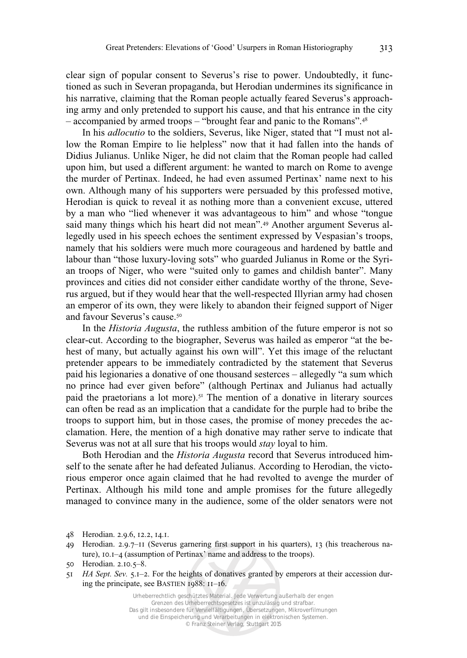clear sign of popular consent to Severus's rise to power. Undoubtedly, it functioned as such in Severan propaganda, but Herodian undermines its significance in his narrative, claiming that the Roman people actually feared Severus's approaching army and only pretended to support his cause, and that his entrance in the city – accompanied by armed troops – "brought fear and panic to the Romans".48

In his *adlocutio* to the soldiers, Severus, like Niger, stated that "I must not allow the Roman Empire to lie helpless" now that it had fallen into the hands of Didius Julianus. Unlike Niger, he did not claim that the Roman people had called upon him, but used a different argument: he wanted to march on Rome to avenge the murder of Pertinax. Indeed, he had even assumed Pertinax' name next to his own. Although many of his supporters were persuaded by this professed motive, Herodian is quick to reveal it as nothing more than a convenient excuse, uttered by a man who "lied whenever it was advantageous to him" and whose "tongue said many things which his heart did not mean".49 Another argument Severus allegedly used in his speech echoes the sentiment expressed by Vespasian's troops, namely that his soldiers were much more courageous and hardened by battle and labour than "those luxury-loving sots" who guarded Julianus in Rome or the Syrian troops of Niger, who were "suited only to games and childish banter". Many provinces and cities did not consider either candidate worthy of the throne, Severus argued, but if they would hear that the well-respected Illyrian army had chosen an emperor of its own, they were likely to abandon their feigned support of Niger and favour Severus's cause.50

In the *Historia Augusta*, the ruthless ambition of the future emperor is not so clear-cut. According to the biographer, Severus was hailed as emperor "at the behest of many, but actually against his own will". Yet this image of the reluctant pretender appears to be immediately contradicted by the statement that Severus paid his legionaries a donative of one thousand sesterces – allegedly "a sum which no prince had ever given before" (although Pertinax and Julianus had actually paid the praetorians a lot more).<sup>51</sup> The mention of a donative in literary sources can often be read as an implication that a candidate for the purple had to bribe the troops to support him, but in those cases, the promise of money precedes the acclamation. Here, the mention of a high donative may rather serve to indicate that Severus was not at all sure that his troops would *stay* loyal to him.

Both Herodian and the *Historia Augusta* record that Severus introduced himself to the senate after he had defeated Julianus. According to Herodian, the victorious emperor once again claimed that he had revolted to avenge the murder of Pertinax. Although his mild tone and ample promises for the future allegedly managed to convince many in the audience, some of the older senators were not

<sup>48</sup> Herodian. 2.9.6, 12.2, 14.1.

<sup>49</sup> Herodian. 2.9.7–11 (Severus garnering first support in his quarters), 13 (his treacherous nature), 10.1–4 (assumption of Pertinax' name and address to the troops).

<sup>50</sup> Herodian. 2.10.5–8.

<sup>51</sup> *HA Sept. Sev.* 5.1–2. For the heights of donatives granted by emperors at their accession during the principate, see BASTIEN 1988: 11–16.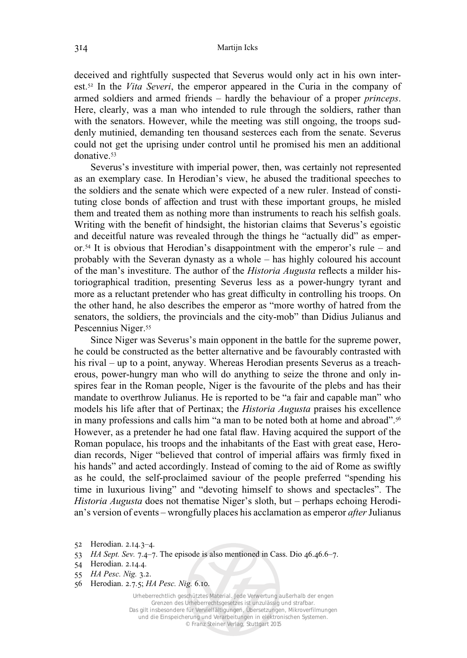deceived and rightfully suspected that Severus would only act in his own interest.52 In the *Vita Severi*, the emperor appeared in the Curia in the company of armed soldiers and armed friends – hardly the behaviour of a proper *princeps*. Here, clearly, was a man who intended to rule through the soldiers, rather than with the senators. However, while the meeting was still ongoing, the troops suddenly mutinied, demanding ten thousand sesterces each from the senate. Severus could not get the uprising under control until he promised his men an additional donative.53

Severus's investiture with imperial power, then, was certainly not represented as an exemplary case. In Herodian's view, he abused the traditional speeches to the soldiers and the senate which were expected of a new ruler. Instead of constituting close bonds of affection and trust with these important groups, he misled them and treated them as nothing more than instruments to reach his selfish goals. Writing with the benefit of hindsight, the historian claims that Severus's egoistic and deceitful nature was revealed through the things he "actually did" as emperor.54 It is obvious that Herodian's disappointment with the emperor's rule – and probably with the Severan dynasty as a whole – has highly coloured his account of the man's investiture. The author of the *Historia Augusta* reflects a milder historiographical tradition, presenting Severus less as a power-hungry tyrant and more as a reluctant pretender who has great difficulty in controlling his troops. On the other hand, he also describes the emperor as "more worthy of hatred from the senators, the soldiers, the provincials and the city-mob" than Didius Julianus and Pescennius Niger.<sup>55</sup>

Since Niger was Severus's main opponent in the battle for the supreme power, he could be constructed as the better alternative and be favourably contrasted with his rival – up to a point, anyway. Whereas Herodian presents Severus as a treacherous, power-hungry man who will do anything to seize the throne and only inspires fear in the Roman people, Niger is the favourite of the plebs and has their mandate to overthrow Julianus. He is reported to be "a fair and capable man" who models his life after that of Pertinax; the *Historia Augusta* praises his excellence in many professions and calls him "a man to be noted both at home and abroad".<sup>56</sup> However, as a pretender he had one fatal flaw. Having acquired the support of the Roman populace, his troops and the inhabitants of the East with great ease, Herodian records, Niger "believed that control of imperial affairs was firmly fixed in his hands" and acted accordingly. Instead of coming to the aid of Rome as swiftly as he could, the self-proclaimed saviour of the people preferred "spending his time in luxurious living" and "devoting himself to shows and spectacles". The *Historia Augusta* does not thematise Niger's sloth, but – perhaps echoing Herodian's version of events – wrongfully places his acclamation as emperor *after*Julianus

56 Herodian. 2.7.5; *HA Pesc. Nig.* 6.10.

<sup>52</sup> Herodian. 2.14.3–4.

<sup>53</sup> *HA Sept. Sev.* 7.4–7. The episode is also mentioned in Cass. Dio 46.46.6–7.

<sup>54</sup> Herodian. 2.14.4.

<sup>55</sup> *HA Pesc. Nig.* 3.2.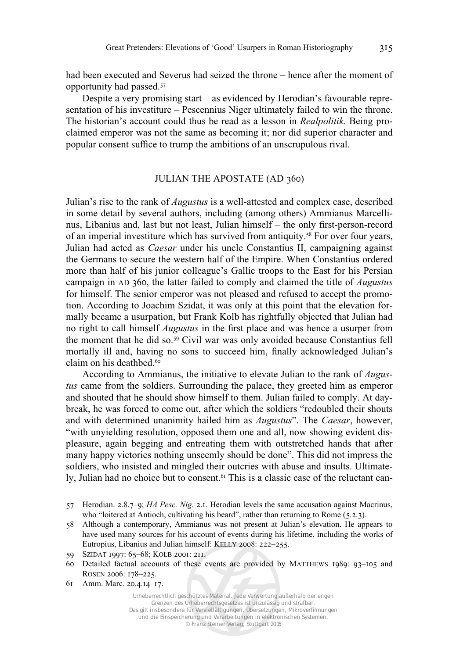had been executed and Severus had seized the throne – hence after the moment of opportunity had passed.57

Despite a very promising start – as evidenced by Herodian's favourable representation of his investiture – Pescennius Niger ultimately failed to win the throne. The historian's account could thus be read as a lesson in *Realpolitik*. Being proclaimed emperor was not the same as becoming it; nor did superior character and popular consent suffice to trump the ambitions of an unscrupulous rival.

#### JULIAN THE APOSTATE (AD 360)

Julian's rise to the rank of *Augustus* is a well-attested and complex case, described in some detail by several authors, including (among others) Ammianus Marcellinus, Libanius and, last but not least, Julian himself – the only first-person-record of an imperial investiture which has survived from antiquity.58 For over four years, Julian had acted as *Caesar* under his uncle Constantius II, campaigning against the Germans to secure the western half of the Empire. When Constantius ordered more than half of his junior colleague's Gallic troops to the East for his Persian campaign in AD 360, the latter failed to comply and claimed the title of *Augustus* for himself. The senior emperor was not pleased and refused to accept the promotion. According to Joachim Szidat, it was only at this point that the elevation formally became a usurpation, but Frank Kolb has rightfully objected that Julian had no right to call himself *Augustus* in the first place and was hence a usurper from the moment that he did so.59 Civil war was only avoided because Constantius fell mortally ill and, having no sons to succeed him, finally acknowledged Julian's claim on his deathbed.<sup>60</sup>

According to Ammianus, the initiative to elevate Julian to the rank of *Augustus* came from the soldiers. Surrounding the palace, they greeted him as emperor and shouted that he should show himself to them. Julian failed to comply. At daybreak, he was forced to come out, after which the soldiers "redoubled their shouts and with determined unanimity hailed him as *Augustus*". The *Caesar*, however, "with unyielding resolution, opposed them one and all, now showing evident displeasure, again begging and entreating them with outstretched hands that after many happy victories nothing unseemly should be done". This did not impress the soldiers, who insisted and mingled their outcries with abuse and insults. Ultimately, Julian had no choice but to consent.<sup>61</sup> This is a classic case of the reluctant can-

<sup>57</sup> Herodian. 2.8.7–9; *HA Pesc. Nig.* 2.1. Herodian levels the same accusation against Macrinus, who "loitered at Antioch, cultivating his beard", rather than returning to Rome (5.2.3).

<sup>58</sup> Although a contemporary, Ammianus was not present at Julian's elevation. He appears to have used many sources for his account of events during his lifetime, including the works of Eutropius, Libanius and Julian himself: KELLY 2008: 222–255.

<sup>59</sup> SZIDAT 1997: 65–68; KOLB 2001: 211.

<sup>60</sup> Detailed factual accounts of these events are provided by MATTHEWS 1989: 93–105 and ROSEN 2006: 178–225.

<sup>61</sup> Amm. Marc. 20.4.14–17.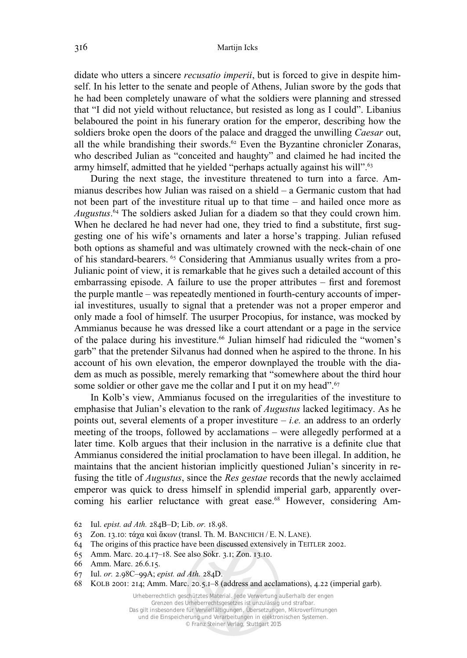didate who utters a sincere *recusatio imperii*, but is forced to give in despite himself. In his letter to the senate and people of Athens, Julian swore by the gods that he had been completely unaware of what the soldiers were planning and stressed that "I did not yield without reluctance, but resisted as long as I could". Libanius belaboured the point in his funerary oration for the emperor, describing how the soldiers broke open the doors of the palace and dragged the unwilling *Caesar* out, all the while brandishing their swords.<sup>62</sup> Even the Byzantine chronicler Zonaras, who described Julian as "conceited and haughty" and claimed he had incited the army himself, admitted that he yielded "perhaps actually against his will".<sup>63</sup>

During the next stage, the investiture threatened to turn into a farce. Ammianus describes how Julian was raised on a shield – a Germanic custom that had not been part of the investiture ritual up to that time – and hailed once more as *Augustus*. 64 The soldiers asked Julian for a diadem so that they could crown him. When he declared he had never had one, they tried to find a substitute, first suggesting one of his wife's ornaments and later a horse's trapping. Julian refused both options as shameful and was ultimately crowned with the neck-chain of one of his standard-bearers. 65 Considering that Ammianus usually writes from a pro-Julianic point of view, it is remarkable that he gives such a detailed account of this embarrassing episode. A failure to use the proper attributes – first and foremost the purple mantle – was repeatedly mentioned in fourth-century accounts of imperial investitures, usually to signal that a pretender was not a proper emperor and only made a fool of himself. The usurper Procopius, for instance, was mocked by Ammianus because he was dressed like a court attendant or a page in the service of the palace during his investiture.<sup>66</sup> Julian himself had ridiculed the "women's garb" that the pretender Silvanus had donned when he aspired to the throne. In his account of his own elevation, the emperor downplayed the trouble with the diadem as much as possible, merely remarking that "somewhere about the third hour some soldier or other gave me the collar and I put it on my head".<sup>67</sup>

In Kolb's view, Ammianus focused on the irregularities of the investiture to emphasise that Julian's elevation to the rank of *Augustus* lacked legitimacy. As he points out, several elements of a proper investiture – *i.e.* an address to an orderly meeting of the troops, followed by acclamations – were allegedly performed at a later time. Kolb argues that their inclusion in the narrative is a definite clue that Ammianus considered the initial proclamation to have been illegal. In addition, he maintains that the ancient historian implicitly questioned Julian's sincerity in refusing the title of *Augustus*, since the *Res gestae* records that the newly acclaimed emperor was quick to dress himself in splendid imperial garb, apparently overcoming his earlier reluctance with great ease.<sup>68</sup> However, considering Am-

- 63 Zon. 13.10: τάχα καὶ ἄκων (transl. Th. M. BANCHICH / E. N. LANE).
- 64 The origins of this practice have been discussed extensively in TEITLER 2002.
- 65 Amm. Marc. 20.4.17–18. See also Sokr. 3.1; Zon. 13.10.
- 66 Amm. Marc. 26.6.15.
- 67 Iul. *or.* 2.98C–99A; *epist. ad Ath.* 284D.
- 68 KOLB 2001: 214; Amm. Marc. 20.5.1–8 (address and acclamations), 4.22 (imperial garb).

<sup>62</sup> Iul. *epist. ad Ath.* 284B–D; Lib. *or.* 18.98.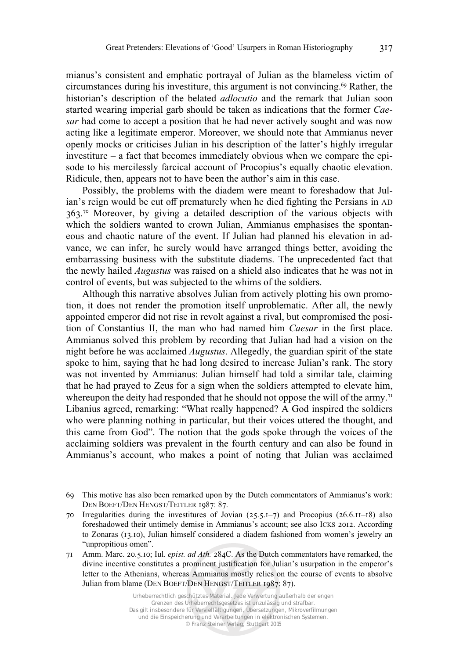mianus's consistent and emphatic portrayal of Julian as the blameless victim of circumstances during his investiture, this argument is not convincing.<sup>69</sup> Rather, the historian's description of the belated *adlocutio* and the remark that Julian soon started wearing imperial garb should be taken as indications that the former *Caesar* had come to accept a position that he had never actively sought and was now acting like a legitimate emperor. Moreover, we should note that Ammianus never openly mocks or criticises Julian in his description of the latter's highly irregular investiture – a fact that becomes immediately obvious when we compare the episode to his mercilessly farcical account of Procopius's equally chaotic elevation. Ridicule, then, appears not to have been the author's aim in this case.

Possibly, the problems with the diadem were meant to foreshadow that Julian's reign would be cut off prematurely when he died fighting the Persians in AD 363.70 Moreover, by giving a detailed description of the various objects with which the soldiers wanted to crown Julian, Ammianus emphasises the spontaneous and chaotic nature of the event. If Julian had planned his elevation in advance, we can infer, he surely would have arranged things better, avoiding the embarrassing business with the substitute diadems. The unprecedented fact that the newly hailed *Augustus* was raised on a shield also indicates that he was not in control of events, but was subjected to the whims of the soldiers.

Although this narrative absolves Julian from actively plotting his own promotion, it does not render the promotion itself unproblematic. After all, the newly appointed emperor did not rise in revolt against a rival, but compromised the position of Constantius II, the man who had named him *Caesar* in the first place. Ammianus solved this problem by recording that Julian had had a vision on the night before he was acclaimed *Augustus*. Allegedly, the guardian spirit of the state spoke to him, saying that he had long desired to increase Julian's rank. The story was not invented by Ammianus: Julian himself had told a similar tale, claiming that he had prayed to Zeus for a sign when the soldiers attempted to elevate him, whereupon the deity had responded that he should not oppose the will of the army.<sup>71</sup> Libanius agreed, remarking: "What really happened? A God inspired the soldiers who were planning nothing in particular, but their voices uttered the thought, and this came from God". The notion that the gods spoke through the voices of the acclaiming soldiers was prevalent in the fourth century and can also be found in Ammianus's account, who makes a point of noting that Julian was acclaimed

- 69 This motive has also been remarked upon by the Dutch commentators of Ammianus's work: DEN BOEFT/DEN HENGST/TEITLER 1987: 87.
- 70 Irregularities during the investitures of Jovian (25.5.1–7) and Procopius (26.6.11–18) also foreshadowed their untimely demise in Ammianus's account; see also ICKS 2012. According to Zonaras (13.10), Julian himself considered a diadem fashioned from women's jewelry an "unpropitious omen".
- 71 Amm. Marc. 20.5.10; Iul. *epist. ad Ath.* 284C. As the Dutch commentators have remarked, the divine incentive constitutes a prominent justification for Julian's usurpation in the emperor's letter to the Athenians, whereas Ammianus mostly relies on the course of events to absolve Julian from blame (DEN BOEFT/DEN HENGST/TEITLER 1987: 87).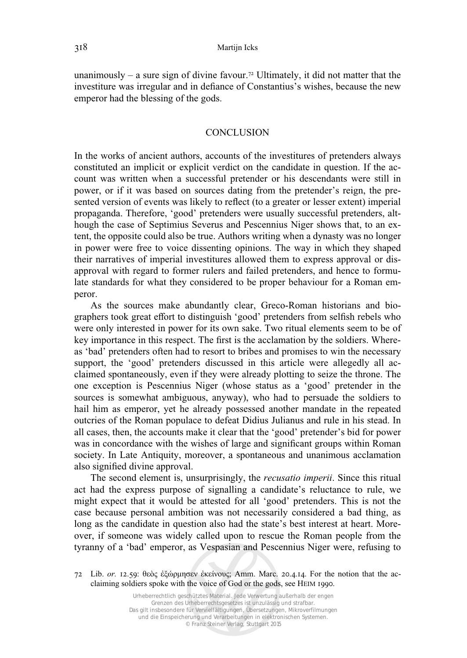unanimously – a sure sign of divine favour.<sup>72</sup> Ultimately, it did not matter that the investiture was irregular and in defiance of Constantius's wishes, because the new emperor had the blessing of the gods.

#### **CONCLUSION**

In the works of ancient authors, accounts of the investitures of pretenders always constituted an implicit or explicit verdict on the candidate in question. If the account was written when a successful pretender or his descendants were still in power, or if it was based on sources dating from the pretender's reign, the presented version of events was likely to reflect (to a greater or lesser extent) imperial propaganda. Therefore, 'good' pretenders were usually successful pretenders, although the case of Septimius Severus and Pescennius Niger shows that, to an extent, the opposite could also be true. Authors writing when a dynasty was no longer in power were free to voice dissenting opinions. The way in which they shaped their narratives of imperial investitures allowed them to express approval or disapproval with regard to former rulers and failed pretenders, and hence to formulate standards for what they considered to be proper behaviour for a Roman emperor.

As the sources make abundantly clear, Greco-Roman historians and biographers took great effort to distinguish 'good' pretenders from selfish rebels who were only interested in power for its own sake. Two ritual elements seem to be of key importance in this respect. The first is the acclamation by the soldiers. Whereas 'bad' pretenders often had to resort to bribes and promises to win the necessary support, the 'good' pretenders discussed in this article were allegedly all acclaimed spontaneously, even if they were already plotting to seize the throne. The one exception is Pescennius Niger (whose status as a 'good' pretender in the sources is somewhat ambiguous, anyway), who had to persuade the soldiers to hail him as emperor, yet he already possessed another mandate in the repeated outcries of the Roman populace to defeat Didius Julianus and rule in his stead. In all cases, then, the accounts make it clear that the 'good' pretender's bid for power was in concordance with the wishes of large and significant groups within Roman society. In Late Antiquity, moreover, a spontaneous and unanimous acclamation also signified divine approval.

The second element is, unsurprisingly, the *recusatio imperii*. Since this ritual act had the express purpose of signalling a candidate's reluctance to rule, we might expect that it would be attested for all 'good' pretenders. This is not the case because personal ambition was not necessarily considered a bad thing, as long as the candidate in question also had the state's best interest at heart. Moreover, if someone was widely called upon to rescue the Roman people from the tyranny of a 'bad' emperor, as Vespasian and Pescennius Niger were, refusing to

<sup>72</sup> Lib. *or.* 12.59: θεὸς ἐξώρμησεν ἐκείνους; Amm. Marc. 20.4.14. For the notion that the acclaiming soldiers spoke with the voice of God or the gods, see HEIM 1990.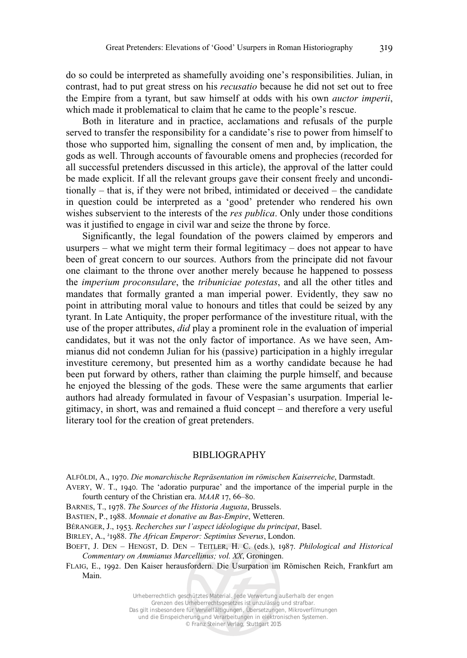do so could be interpreted as shamefully avoiding one's responsibilities. Julian, in contrast, had to put great stress on his *recusatio* because he did not set out to free the Empire from a tyrant, but saw himself at odds with his own *auctor imperii*, which made it problematical to claim that he came to the people's rescue.

Both in literature and in practice, acclamations and refusals of the purple served to transfer the responsibility for a candidate's rise to power from himself to those who supported him, signalling the consent of men and, by implication, the gods as well. Through accounts of favourable omens and prophecies (recorded for all successful pretenders discussed in this article), the approval of the latter could be made explicit. If all the relevant groups gave their consent freely and unconditionally – that is, if they were not bribed, intimidated or deceived – the candidate in question could be interpreted as a 'good' pretender who rendered his own wishes subservient to the interests of the *res publica*. Only under those conditions was it justified to engage in civil war and seize the throne by force.

Significantly, the legal foundation of the powers claimed by emperors and usurpers – what we might term their formal legitimacy – does not appear to have been of great concern to our sources. Authors from the principate did not favour one claimant to the throne over another merely because he happened to possess the *imperium proconsulare*, the *tribuniciae potestas*, and all the other titles and mandates that formally granted a man imperial power. Evidently, they saw no point in attributing moral value to honours and titles that could be seized by any tyrant. In Late Antiquity, the proper performance of the investiture ritual, with the use of the proper attributes, *did* play a prominent role in the evaluation of imperial candidates, but it was not the only factor of importance. As we have seen, Ammianus did not condemn Julian for his (passive) participation in a highly irregular investiture ceremony, but presented him as a worthy candidate because he had been put forward by others, rather than claiming the purple himself, and because he enjoyed the blessing of the gods. These were the same arguments that earlier authors had already formulated in favour of Vespasian's usurpation. Imperial legitimacy, in short, was and remained a fluid concept – and therefore a very useful literary tool for the creation of great pretenders.

#### BIBLIOGRAPHY

ALFÖLDI, A., 1970. *Die monarchische Repräsentation im römischen Kaiserreiche*, Darmstadt.

- AVERY, W. T., 1940. The 'adoratio purpurae' and the importance of the imperial purple in the fourth century of the Christian era. *MAAR* 17, 66–80.
- BARNES, T., 1978. *The Sources of the Historia Augusta*, Brussels.
- BASTIEN, P., 1988. *Monnaie et donative au Bas-Empire*, Wetteren.
- BÉRANGER, J., 1953. *Recherches sur l'aspect idéologique du principat*, Basel.
- BIRLEY, A., 2 1988. *The African Emperor: Septimius Severus*, London.
- BOEFT, J. DEN HENGST, D. DEN TEITLER, H. C. (eds.), 1987. *Philological and Historical Commentary on Ammianus Marcellinus; vol. XX*, Groningen.
- FLAIG, E., 1992. Den Kaiser herausfordern. Die Usurpation im Römischen Reich, Frankfurt am Main.